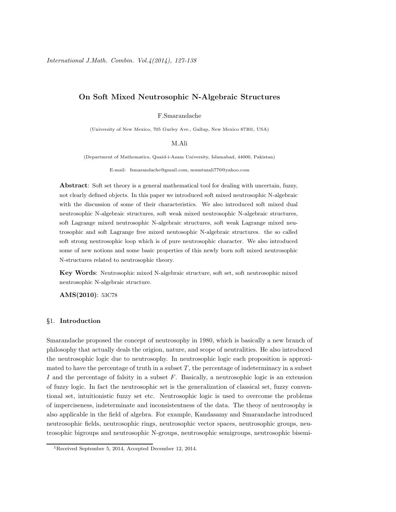# On Soft Mixed Neutrosophic N-Algebraic Structures

F.Smarandache

(University of New Mexico, 705 Gurley Ave., Gallup, New Mexico 87301, USA)

M.Ali

(Department of Mathematics, Quaid-i-Azam University, Islamabad, 44000, Pakistan)

E-mail: fsmarandache@gmail.com, mumtazali770@yahoo.com

Abstract: Soft set theory is a general mathematical tool for dealing with uncertain, fuzzy, not clearly defined objects. In this paper we introduced soft mixed neutrosophic N-algebraic with the discussion of some of their characteristics. We also introduced soft mixed dual neutrosophic N-algebraic structures, soft weak mixed neutrosophic N-algebraic structures, soft Lagrange mixed neutrosophic N-algebraic structures, soft weak Lagrange mixed neutrosophic and soft Lagrange free mixed neutosophic N-algebraic structures. the so called soft strong neutrosophic loop which is of pure neutrosophic character. We also introduced some of new notions and some basic properties of this newly born soft mixed neutrosophic N-structures related to neutrosophic theory.

Key Words: Neutrosophic mixed N-algebraic structure, soft set, soft neutrosophic mixed neutrosophic N-algebraic structure.

AMS(2010): 53C78

### §1. Introduction

Smarandache proposed the concept of neutrosophy in 1980, which is basically a new branch of philosophy that actually deals the origion, nature, and scope of neutralities. He also introduced the neutrosophic logic due to neutrosophy. In neutrosophic logic each proposition is approximated to have the percentage of truth in a subset  $T$ , the percentage of indeterminacy in a subset I and the percentage of falsity in a subset  $F$ . Basically, a neutrosophic logic is an extension of fuzzy logic. In fact the neutrosophic set is the generalization of classical set, fuzzy conventional set, intuitionistic fuzzy set etc. Neutrosophic logic is used to overcome the problems of imperciseness, indeterminate and inconsistentness of the data. The theoy of neutrosophy is also applicable in the field of algebra. For example, Kandasamy and Smarandache introduced neutrosophic fields, neutrosophic rings, neutrosophic vector spaces, neutrosophic groups, neutrosophic bigroups and neutrosophic N-groups, neutrosophic semigroups, neutrosophic bisemi-

<sup>1</sup>Received September 5, 2014, Accepted December 12, 2014.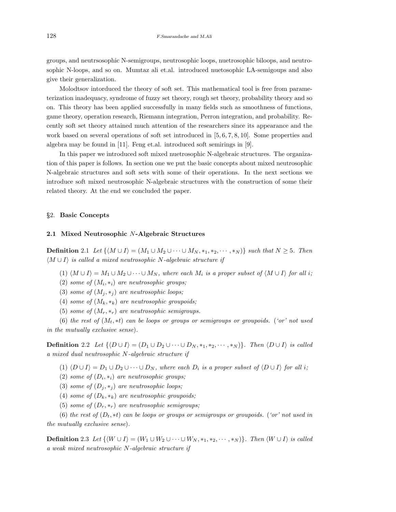groups, and neutrsosophic N-semigroups, neutrosophic loops, nuetrosophic biloops, and neutrosophic N-loops, and so on. Mumtaz ali et.al. introduced nuetosophic LA-semigoups and also give their generalization.

Molodtsov intorduced the theory of soft set. This mathematical tool is free from parameterization inadequacy, syndrome of fuzzy set theory, rough set theory, probability theory and so on. This theory has been applied successfully in many fields such as smoothness of functions, game theory, operation research, Riemann integration, Perron integration, and probability. Recently soft set theory attained much attention of the researchers since its appearance and the work based on several operations of soft set introduced in [5, 6, 7, 8, 10]. Some properties and algebra may be found in [11]. Feng et.al. introduced soft semirings in [9].

In this paper we introduced soft mixed nuetrosophic N-algebraic structures. The organization of this paper is follows. In section one we put the basic concepts about mixed neutrosophic N-algebraic structures and soft sets with some of their operations. In the next sections we introduce soft mixed neutrosophic N-algebraic structures with the construction of some their related theory. At the end we concluded the paper.

#### §2. Basic Concepts

## 2.1 Mixed Neutrosophic N-Algebraic Structures

**Definition** 2.1 Let  $\{M \cup I\} = (M_1 \cup M_2 \cup \cdots \cup M_N, *_1, *_2, \cdots, *_N)\}\$  such that  $N \geq 5$ . Then  $\langle M \cup I \rangle$  is called a mixed neutrosophic N-algebraic structure if

- (1)  $\langle M \cup I \rangle = M_1 \cup M_2 \cup \cdots \cup M_N$ , where each  $M_i$  is a proper subset of  $\langle M \cup I \rangle$  for all i;
- (2) some of  $(M_i, *_i)$  are neutrosophic groups;
- (3) some of  $(M_i, *_i)$  are neutrosophic loops;
- (4) some of  $(M_k, *_k)$  are neutrosophic groupoids;
- (5) some of  $(M_r, *_r)$  are neutrosophic semigroups.

(6) the rest of  $(M_t, *t)$  can be loops or groups or semigroups or groupoids. ('or' not used in the mutually exclusive sense).

**Definition** 2.2 Let  $\{ \langle D \cup I \rangle = (D_1 \cup D_2 \cup \cdots \cup D_N, *_1, *_2, \cdots, *_N) \}$ . Then  $\langle D \cup I \rangle$  is called a mixed dual neutrosophic N-algebraic structure if

- (1)  $\langle D \cup I \rangle = D_1 \cup D_2 \cup \cdots \cup D_N$ , where each  $D_i$  is a proper subset of  $\langle D \cup I \rangle$  for all i;
- (2) some of  $(D_i, *_i)$  are neutrosophic groups;
- (3) some of  $(D_j, *_j)$  are neutrosophic loops;
- (4) some of  $(D_k, *_k)$  are neutrosophic groupoids;
- (5) some of  $(D_r, *_r)$  are neutrosophic semigroups;

(6) the rest of  $(D_t, *t)$  can be loops or groups or semigroups or groupoids. ('or' not used in the mutually exclusive sense).

**Definition** 2.3 Let  $\{W \cup I\} = (W_1 \cup W_2 \cup \cdots \cup W_N, *_1, *_2, \cdots, *_N)\}$ . Then  $\langle W \cup I \rangle$  is called a weak mixed neutrosophic N-algebraic structure if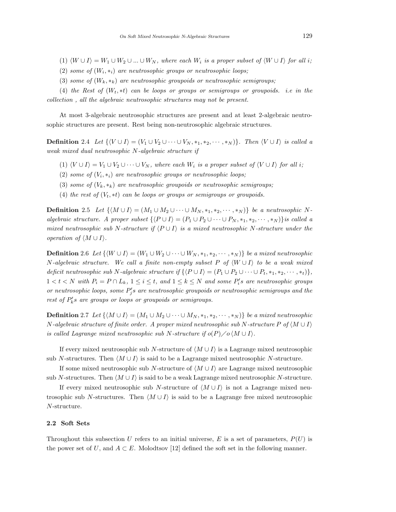- (1)  $\langle W \cup I \rangle = W_1 \cup W_2 \cup ... \cup W_N$ , where each  $W_i$  is a proper subset of  $\langle W \cup I \rangle$  for all i;
- (2) some of  $(W_i, *_i)$  are neutrosophic groups or neutrosophic loops;
- (3) some of  $(W_k, *_k)$  are neutrosophic groupoids or neutrosophic semigroups;

(4) the Rest of  $(W_t, *t)$  can be loops or groups or semigroups or groupoids. i.e in the collection , all the algebraic neutrosophic structures may not be present.

At most 3-algebraic neutrosophic structures are present and at least 2-algebraic neutrosophic structures are present. Rest being non-neutrosophic algebraic structures.

**Definition** 2.4 Let  $\{V \cup I\} = (V_1 \cup V_2 \cup \cdots \cup V_N, *_{1}, *_{2}, \cdots, *_{N})\}$ . Then  $\langle V \cup I \rangle$  is called a weak mixed dual neutrosophic N-algebraic structure if

- (1)  $\langle V \cup I \rangle = V_1 \cup V_2 \cup \cdots \cup V_N$ , where each  $W_i$  is a proper subset of  $\langle V \cup I \rangle$  for all i;
- (2) some of  $(V_i, *_i)$  are neutrosophic groups or neutrosophic loops;
- (3) some of  $(V_k, *_k)$  are neutrosophic groupoids or neutrosophic semigroups;
- (4) the rest of  $(V_t, *t)$  can be loops or groups or semigroups or groupoids.

**Definition** 2.5 Let  $\{M \cup I\} = (M_1 \cup M_2 \cup \cdots \cup M_N, *_1, *_2, \cdots, *_N)\}$  be a neutrosophic Nalgebraic structure. A proper subset  $\{P \cup I\} = (P_1 \cup P_2 \cup \cdots \cup P_N, *_{1}, *_{2}, \cdots, *_{N})\}$ is called a mixed neutrosophic sub N-structure if  $\langle P \cup I \rangle$  is a mixed neutrosophic N-structure under the operation of  $\langle M \cup I \rangle$ .

**Definition** 2.6 Let  $\{W \cup I\} = (W_1 \cup W_2 \cup \cdots \cup W_N, *_{1}, *_{2}, \cdots, *_{N})\}$  be a mixed neutrosophic N-algebraic structure. We call a finite non-empty subset P of  $\langle W \cup I \rangle$  to be a weak mixed deficit neutrosophic sub N-algebraic structure if  $\{P \cup I\} = (P_1 \cup P_2 \cup \cdots \cup P_t, *_1, *_2, \cdots, *_t)\},\$  $1 < t < N$  with  $P_i = P \cap L_k$ ,  $1 \leq i \leq t$ , and  $1 \leq k \leq N$  and some  $P_i$ 's are neutrosophic groups or neutrosophic loops, some  $P'_j$ s are neutrosophic groupoids or neutrosophic semigroups and the rest of  $P'_k$ s are groups or loops or groupoids or semigroups.

**Definition** 2.7 Let  $\{M \cup I\} = (M_1 \cup M_2 \cup \cdots \cup M_N, *_1, *_2, \cdots, *_N)\}$  be a mixed neutrosophic N-algebraic structure of finite order. A proper mixed neutrosophic sub N-structure P of  $\langle M \cup I \rangle$ is called Lagrange mixed neutrosophic sub N-structure if  $o(P)/o \langle M \cup I \rangle$ .

If every mixed neutrosophic sub N-structure of  $\langle M \cup I \rangle$  is a Lagrange mixed neutrosophic sub N-structures. Then  $\langle M \cup I \rangle$  is said to be a Lagrange mixed neutrosophic N-structure.

If some mixed neutrosophic sub N-structure of  $\langle M \cup I \rangle$  are Lagrange mixed neutrosophic sub N-structures. Then  $\langle M \cup I \rangle$  is said to be a weak Lagrange mixed neutrosophic N-structure.

If every mixed neutrosophic sub N-structure of  $\langle M \cup I \rangle$  is not a Lagrange mixed neutrosophic sub N-structures. Then  $\langle M \cup I \rangle$  is said to be a Lagrange free mixed neutrosophic N-structure.

#### 2.2 Soft Sets

Throughout this subsection U refers to an initial universe, E is a set of parameters,  $P(U)$  is the power set of U, and  $A \subset E$ . Molodtsov [12] defined the soft set in the following manner.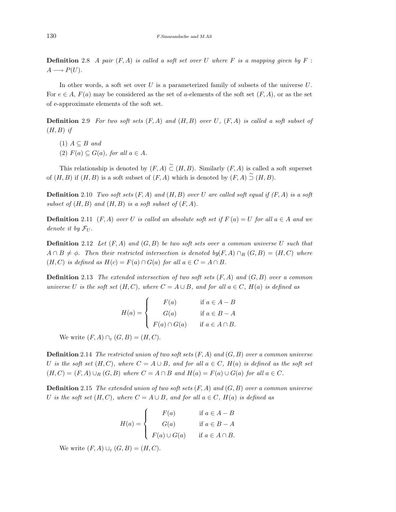**Definition** 2.8 A pair  $(F, A)$  is called a soft set over U where F is a mapping given by F :  $A \longrightarrow P(U)$ .

In other words, a soft set over  $U$  is a parameterized family of subsets of the universe  $U$ . For  $e \in A$ ,  $F(a)$  may be considered as the set of a-elements of the soft set  $(F, A)$ , or as the set of e-approximate elements of the soft set.

**Definition** 2.9 For two soft sets  $(F, A)$  and  $(H, B)$  over U,  $(F, A)$  is called a soft subset of  $(H, B)$  if

- (1)  $A \subseteq B$  and
- (2)  $F(a) \subseteq G(a)$ , for all  $a \in A$ .

This relationship is denoted by  $(F, A) \overset{\sim}{\subset} (H, B)$ . Similarly  $(F, A)$  is called a soft superset of  $(H, B)$  if  $(H, B)$  is a soft subset of  $(F, A)$  which is denoted by  $(F, A) \stackrel{\sim}{\supset} (H, B)$ .

**Definition** 2.10 Two soft sets  $(F, A)$  and  $(H, B)$  over U are called soft equal if  $(F, A)$  is a soft subset of  $(H, B)$  and  $(H, B)$  is a soft subset of  $(F, A)$ .

**Definition** 2.11 (F, A) over U is called an absolute soft set if  $F(a) = U$  for all  $a \in A$  and we denote it by  $\mathcal{F}_U$ .

**Definition** 2.12 Let  $(F, A)$  and  $(G, B)$  be two soft sets over a common universe U such that  $A \cap B \neq \emptyset$ . Then their restricted intersection is denoted by(F, A)  $\cap_R (G, B) = (H, C)$  where  $(H, C)$  is defined as  $H(c) = F(a) \cap G(a)$  for all  $a \in C = A \cap B$ .

**Definition** 2.13 The extended intersection of two soft sets  $(F, A)$  and  $(G, B)$  over a common universe U is the soft set  $(H, C)$ , where  $C = A \cup B$ , and for all  $a \in C$ ,  $H(a)$  is defined as

$$
H(a) = \begin{cases} F(a) & \text{if } a \in A - B \\ G(a) & \text{if } a \in B - A \\ F(a) \cap G(a) & \text{if } a \in A \cap B. \end{cases}
$$

We write  $(F, A) \cap_{\varepsilon} (G, B) = (H, C)$ .

**Definition** 2.14 The restricted union of two soft sets  $(F, A)$  and  $(G, B)$  over a common universe U is the soft set  $(H, C)$ , where  $C = A \cup B$ , and for all  $a \in C$ ,  $H(a)$  is defined as the soft set  $(H, C) = (F, A) \cup_R (G, B)$  where  $C = A \cap B$  and  $H(a) = F(a) \cup G(a)$  for all  $a \in C$ .

**Definition** 2.15 The extended union of two soft sets  $(F, A)$  and  $(G, B)$  over a common universe U is the soft set  $(H, C)$ , where  $C = A \cup B$ , and for all  $a \in C$ ,  $H(a)$  is defined as

$$
H(a) = \begin{cases} F(a) & \text{if } a \in A - B \\ G(a) & \text{if } a \in B - A \\ F(a) \cup G(a) & \text{if } a \in A \cap B. \end{cases}
$$

We write  $(F, A) \cup_{\varepsilon} (G, B) = (H, C)$ .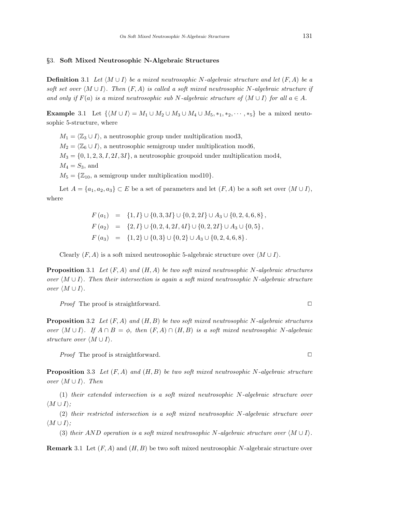#### §3. Soft Mixed Neutrosophic N-Algebraic Structures

**Definition** 3.1 Let  $\langle M \cup I \rangle$  be a mixed neutrosophic N-algebraic structure and let  $(F, A)$  be a soft set over  $\langle M \cup I \rangle$ . Then  $(F, A)$  is called a soft mixed neutrosophic N-algebraic structure if and only if  $F(a)$  is a mixed neutrosophic sub N-algebraic structure of  $\langle M \cup I \rangle$  for all  $a \in A$ .

**Example** 3.1 Let  $\{M \cup I\} = M_1 \cup M_2 \cup M_3 \cup M_4 \cup M_5, *_1, *_2, \cdots, *_5\}$  be a mixed neutosophic 5-structure, where

 $M_1 = \langle \mathbb{Z}_3 \cup I \rangle$ , a neutrosophic group under multiplication mod3,  $M_2 = \langle \mathbb{Z}_6 \cup I \rangle$ , a neutrosophic semigroup under multiplication mod6,  $M_3 = \{0, 1, 2, 3, I, 2I, 3I\}$ , a neutrosophic groupoid under multiplication mod4,  $M_4 = S_3$ , and  $M_5 = \{Z_{10}, \text{ a semigroup under multiplication mod }10\}.$ 

Let  $A = \{a_1, a_2, a_3\} \subset E$  be a set of parameters and let  $(F, A)$  be a soft set over  $\langle M \cup I \rangle$ , where

> $F(a_1) = \{1, I\} \cup \{0, 3, 3I\} \cup \{0, 2, 2I\} \cup A_3 \cup \{0, 2, 4, 6, 8\},\$  $F(a_2) = \{2, I\} \cup \{0, 2, 4, 2I, 4I\} \cup \{0, 2, 2I\} \cup A_3 \cup \{0, 5\},$  $F(a_3) = \{1,2\} \cup \{0,3\} \cup \{0,2\} \cup A_3 \cup \{0,2,4,6,8\}.$

Clearly  $(F, A)$  is a soft mixed neutrosophic 5-algebraic structure over  $\langle M \cup I \rangle$ .

**Proposition** 3.1 Let  $(F, A)$  and  $(H, A)$  be two soft mixed neutrosophic N-algebraic structures over  $\langle M \cup I \rangle$ . Then their intersection is again a soft mixed neutrosophic N-algebraic structure over  $\langle M \cup I \rangle$ .

*Proof* The proof is straightforward.  $\square$ 

**Proposition** 3.2 Let  $(F, A)$  and  $(H, B)$  be two soft mixed neutrosophic N-algebraic structures over  $\langle M \cup I \rangle$ . If  $A \cap B = \phi$ , then  $(F, A) \cap (H, B)$  is a soft mixed neutrosophic N-algebraic structure over  $\langle M \cup I \rangle$ .

*Proof* The proof is straightforward.  $\square$ 

**Proposition** 3.3 Let  $(F, A)$  and  $(H, B)$  be two soft mixed neutrosophic N-algebraic structure over  $\langle M \cup I \rangle$ . Then

(1) their extended intersection is a soft mixed neutrosophic N-algebraic structure over  $\langle M \cup I \rangle$ ;

(2) their restricted intersection is a soft mixed neutrosophic N-algebraic structure over  $\langle M \cup I \rangle$ ;

(3) their AND operation is a soft mixed neutrosophic N-algebraic structure over  $\langle M \cup I \rangle$ .

**Remark** 3.1 Let  $(F, A)$  and  $(H, B)$  be two soft mixed neutrosophic N-algebraic structure over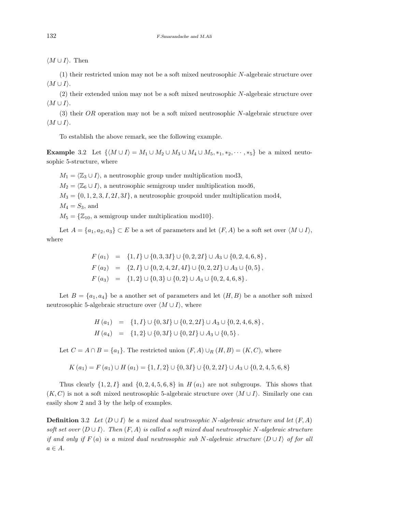$\langle M \cup I \rangle$ . Then

(1) their restricted union may not be a soft mixed neutrosophic N-algebraic structure over  $\langle M \cup I \rangle$ .

(2) their extended union may not be a soft mixed neutrosophic N-algebraic structure over  $\langle M \cup I \rangle$ .

(3) their OR operation may not be a soft mixed neutrosophic N-algebraic structure over  $\langle M \cup I \rangle$ .

To establish the above remark, see the following example.

**Example** 3.2 Let  $\{M \cup I\} = M_1 \cup M_2 \cup M_3 \cup M_4 \cup M_5, *_1, *_2, \cdots, *_5\}$  be a mixed neutosophic 5-structure, where

 $M_1 = \langle \mathbb{Z}_3 \cup I \rangle$ , a neutrosophic group under multiplication mod3,

 $M_2 = \langle \mathbb{Z}_6 \cup I \rangle$ , a neutrosophic semigroup under multiplication mod6,

 $M_3 = \{0, 1, 2, 3, I, 2I, 3I\}$ , a neutrosophic groupoid under multiplication mod4,

 $M_4 = S_3$ , and

 $M_5 = \{Z_{10}, \text{ a semigroup under multiplication mod }10\}.$ 

Let  $A = \{a_1, a_2, a_3\} \subset E$  be a set of parameters and let  $(F, A)$  be a soft set over  $\langle M \cup I \rangle$ , where

$$
F(a_1) = \{1, I\} \cup \{0, 3, 3I\} \cup \{0, 2, 2I\} \cup A_3 \cup \{0, 2, 4, 6, 8\},
$$
  
\n
$$
F(a_2) = \{2, I\} \cup \{0, 2, 4, 2I, 4I\} \cup \{0, 2, 2I\} \cup A_3 \cup \{0, 5\},
$$
  
\n
$$
F(a_3) = \{1, 2\} \cup \{0, 3\} \cup \{0, 2\} \cup A_3 \cup \{0, 2, 4, 6, 8\}.
$$

Let  $B = \{a_1, a_4\}$  be a another set of parameters and let  $(H, B)$  be a another soft mixed neutrosophic 5-algebraic structure over  $\langle M \cup I \rangle$ , where

$$
H(a_1) = \{1, I\} \cup \{0, 3I\} \cup \{0, 2, 2I\} \cup A_3 \cup \{0, 2, 4, 6, 8\},
$$
  

$$
H(a_4) = \{1, 2\} \cup \{0, 3I\} \cup \{0, 2I\} \cup A_3 \cup \{0, 5\}.
$$

Let  $C = A \cap B = \{a_1\}$ . The restricted union  $(F, A) \cup_R (H, B) = (K, C)$ , where

$$
K(a_1) = F(a_1) \cup H(a_1) = \{1, I, 2\} \cup \{0, 3I\} \cup \{0, 2, 2I\} \cup A_3 \cup \{0, 2, 4, 5, 6, 8\}
$$

Thus clearly  $\{1, 2, I\}$  and  $\{0, 2, 4, 5, 6, 8\}$  in  $H(a_1)$  are not subgroups. This shows that  $(K, C)$  is not a soft mixed neutrosophic 5-algebraic structure over  $\langle M \cup I \rangle$ . Similarly one can easily show 2 and 3 by the help of examples.

**Definition** 3.2 Let  $\langle D \cup I \rangle$  be a mixed dual neutrosophic N-algebraic structure and let  $(F, A)$ soft set over  $\langle D \cup I \rangle$ . Then  $(F, A)$  is called a soft mixed dual neutrosophic N-algebraic structure if and only if  $F(a)$  is a mixed dual neutrosophic sub N-algebraic structure  $\langle D \cup I \rangle$  of for all  $a \in A$ .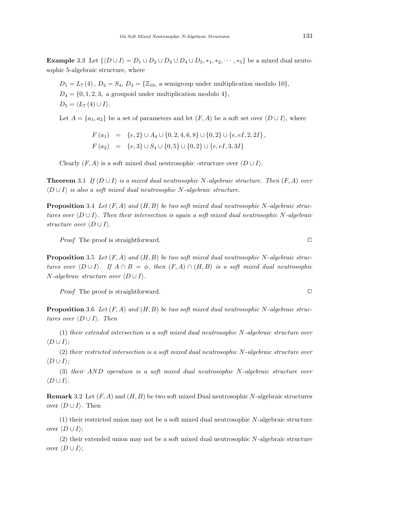Example 3.3 Let  $\{ \langle D \cup I \rangle = D_1 \cup D_2 \cup D_3 \cup D_4 \cup D_5, *_1, *_2, \cdots, *_5 \}$  be a mixed dual neutosophic 5-algebraic structure, where

 $D_1 = L_7(4)$ ,  $D_2 = S_4$ ,  $D_3 = \{Z_{10}$ , a semigroup under multiplication modulo 10},  $D_4 = \{0, 1, 2, 3, \text{ a groupoid under multiplication modulo } 4\},$  $D_5 = \langle L_7 (4) \cup I \rangle.$ 

Let  $A = \{a_1, a_2\}$  be a set of parameters and let  $(F, A)$  be a soft set over  $\langle D \cup I \rangle$ , where

$$
F(a_1) = \{e, 2\} \cup A_4 \cup \{0, 2, 4, 6, 8\} \cup \{0, 2\} \cup \{e, eI, 2, 2I\},
$$
  

$$
F(a_2) = \{e, 3\} \cup S_4 \cup \{0, 5\} \cup \{0, 2\} \cup \{e, eI, 3, 3I\}
$$

Clearly  $(F, A)$  is a soft mixed dual neutrosophic -structure over  $\langle D \cup I \rangle$ .

**Theorem** 3.1 If  $\langle D \cup I \rangle$  is a mixed dual neutrosophic N-algebraic structure. Then  $(F, A)$  over  $\langle D \cup I \rangle$  is also a soft mixed dual neutrosophic N-algebraic structure.

**Proposition** 3.4 Let  $(F, A)$  and  $(H, B)$  be two soft mixed dual neutrosophic N-algebraic structures over  $\langle D \cup I \rangle$ . Then their intersection is again a soft mixed dual neutrosophic N-algebraic structure over  $\langle D \cup I \rangle$ .

*Proof* The proof is straightforward.  $\Box$ 

**Proposition** 3.5 Let  $(F, A)$  and  $(H, B)$  be two soft mixed dual neutrosophic N-algebraic structures over  $\langle D \cup I \rangle$ . If  $A \cap B = \phi$ , then  $(F, A) \cap (H, B)$  is a soft mixed dual neutrosophic  $N$ -algebraic structure over  $\langle D \cup I \rangle$ .

*Proof* The proof is straightforward.  $\square$ 

**Proposition** 3.6 Let  $(F, A)$  and  $(H, B)$  be two soft mixed dual neutrosophic N-algebraic structures over  $\langle D \cup I \rangle$ . Then

(1) their extended intersection is a soft mixed dual neutrosophic N-algebraic structure over  $\langle D \cup I \rangle$ ;

(2) their restricted intersection is a soft mixed dual neutrosophic N-algebraic structure over  $\langle D \cup I \rangle$ :

(3) their AND operation is a soft mixed dual neutrosophic N-algebraic structure over  $\langle D \cup I \rangle$ .

**Remark** 3.2 Let  $(F, A)$  and  $(H, B)$  be two soft mixed Dual neutrosophic N-algebraic structures over  $\langle D \cup I \rangle$ . Then

(1) their restricted union may not be a soft mixed dual neutrosophic N-algebraic structure over  $\langle D \cup I \rangle$ ;

(2) their extended union may not be a soft mixed dual neutrosophic N-algebraic structure over  $\langle D \cup I \rangle$ ;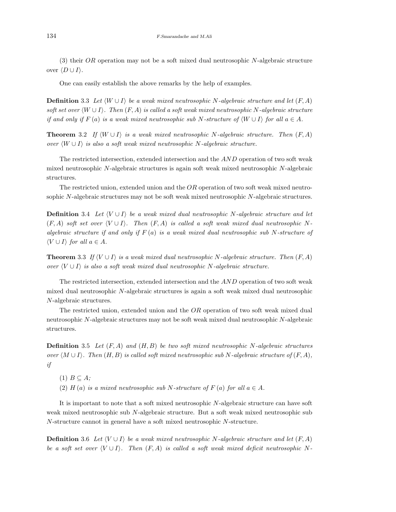(3) their OR operation may not be a soft mixed dual neutrosophic N-algebraic structure over  $\langle D \cup I \rangle$ .

One can easily establish the above remarks by the help of examples.

**Definition** 3.3 Let  $\langle W \cup I \rangle$  be a weak mixed neutrosophic N-algebraic structure and let  $(F, A)$ soft set over  $\langle W \cup I \rangle$ . Then  $(F, A)$  is called a soft weak mixed neutrosophic N-algebraic structure if and only if F (a) is a weak mixed neutrosophic sub N-structure of  $\langle W \cup I \rangle$  for all  $a \in A$ .

**Theorem** 3.2 If  $\langle W \cup I \rangle$  is a weak mixed neutrosophic N-algebraic structure. Then  $(F, A)$ over  $\langle W \cup I \rangle$  is also a soft weak mixed neutrosophic N-algebraic structure.

The restricted intersection, extended intersection and the AND operation of two soft weak mixed neutrosophic N-algebraic structures is again soft weak mixed neutrosophic N-algebraic structures.

The restricted union, extended union and the OR operation of two soft weak mixed neutrosophic N-algebraic structures may not be soft weak mixed neutrosophic N-algebraic structures.

**Definition** 3.4 Let  $\langle V \cup I \rangle$  be a weak mixed dual neutrosophic N-algebraic structure and let  $(F, A)$  soft set over  $\langle V \cup I \rangle$ . Then  $(F, A)$  is called a soft weak mixed dual neutrosophic Nalgebraic structure if and only if  $F(a)$  is a weak mixed dual neutrosophic sub N-structure of  $\langle V \cup I \rangle$  for all  $a \in A$ .

**Theorem** 3.3 If  $\langle V \cup I \rangle$  is a weak mixed dual neutrosophic N-algebraic structure. Then  $(F, A)$ over  $\langle V \cup I \rangle$  is also a soft weak mixed dual neutrosophic N-algebraic structure.

The restricted intersection, extended intersection and the AND operation of two soft weak mixed dual neutrosophic N-algebraic structures is again a soft weak mixed dual neutrosophic N-algebraic structures.

The restricted union, extended union and the OR operation of two soft weak mixed dual neutrosophic N-algebraic structures may not be soft weak mixed dual neutrosophic N-algebraic structures.

**Definition** 3.5 Let  $(F, A)$  and  $(H, B)$  be two soft mixed neutrosophic N-algebraic structures over  $\langle M \cup I \rangle$ . Then  $(H, B)$  is called soft mixed neutrosophic sub N-algebraic structure of  $(F, A)$ , if

 $(1)$   $B \subseteq A$ ;

(2) H (a) is a mixed neutrosophic sub N-structure of F (a) for all  $a \in A$ .

It is important to note that a soft mixed neutrosophic N-algebraic structure can have soft weak mixed neutrosophic sub N-algebraic structure. But a soft weak mixed neutrosophic sub N-structure cannot in general have a soft mixed neutrosophic N-structure.

**Definition** 3.6 Let  $\langle V \cup I \rangle$  be a weak mixed neutrosophic N-algebraic structure and let  $(F, A)$ be a soft set over  $\langle V \cup I \rangle$ . Then  $(F, A)$  is called a soft weak mixed deficit neutrosophic N-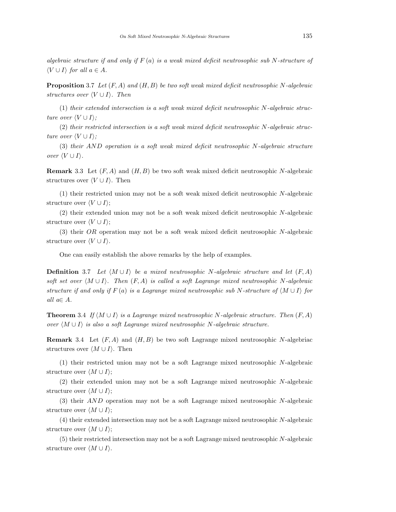algebraic structure if and only if  $F(a)$  is a weak mixed deficit neutrosophic sub N-structure of  $\langle V \cup I \rangle$  for all  $a \in A$ .

**Proposition** 3.7 Let  $(F, A)$  and  $(H, B)$  be two soft weak mixed deficit neutrosophic N-algebraic structures over  $\langle V \cup I \rangle$ . Then

(1) their extended intersection is a soft weak mixed deficit neutrosophic N-algebraic structure over  $\langle V \cup I \rangle$ ;

(2) their restricted intersection is a soft weak mixed deficit neutrosophic N-algebraic structure over  $\langle V \cup I \rangle$ ;

(3) their AND operation is a soft weak mixed deficit neutrosophic N-algebraic structure over  $\langle V \cup I \rangle$ .

**Remark** 3.3 Let  $(F, A)$  and  $(H, B)$  be two soft weak mixed deficit neutrosophic N-algebraic structures over  $\langle V \cup I \rangle$ . Then

(1) their restricted union may not be a soft weak mixed deficit neutrosophic N-algebraic structure over  $\langle V \cup I \rangle$ ;

(2) their extended union may not be a soft weak mixed deficit neutrosophic N-algebraic structure over  $\langle V \cup I \rangle$ ;

(3) their OR operation may not be a soft weak mixed deficit neutrosophic N-algebraic structure over  $\langle V \cup I \rangle$ .

One can easily establish the above remarks by the help of examples.

**Definition** 3.7 Let  $\langle M \cup I \rangle$  be a mixed neutrosophic N-algebraic structure and let  $(F, A)$ soft set over  $\langle M \cup I \rangle$ . Then  $(F, A)$  is called a soft Lagrange mixed neutrosophic N-algebraic structure if and only if F (a) is a Lagrange mixed neutrosophic sub N-structure of  $\langle M \cup I \rangle$  for all  $a \in A$ .

**Theorem** 3.4 If  $\langle M \cup I \rangle$  is a Lagrange mixed neutrosophic N-algebraic structure. Then  $(F, A)$ over  $\langle M \cup I \rangle$  is also a soft Lagrange mixed neutrosophic N-algebraic structure.

**Remark** 3.4 Let  $(F, A)$  and  $(H, B)$  be two soft Lagrange mixed neutrosophic N-algebriac structures over  $\langle M \cup I \rangle$ . Then

(1) their restricted union may not be a soft Lagrange mixed neutrosophic N-algebraic structure over  $\langle M \cup I \rangle$ ;

(2) their extended union may not be a soft Lagrange mixed neutrosophic N-algebraic structure over  $\langle M \cup I \rangle$ ;

(3) their AND operation may not be a soft Lagrange mixed neutrosophic N-algebraic structure over  $\langle M \cup I \rangle$ ;

(4) their extended intersection may not be a soft Lagrange mixed neutrosophic N-algebraic structure over  $\langle M \cup I \rangle$ ;

(5) their restricted intersection may not be a soft Lagrange mixed neutrosophic N-algebraic structure over  $\langle M \cup I \rangle$ .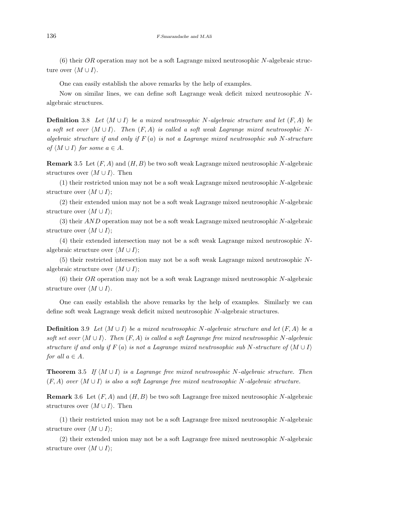(6) their  $OR$  operation may not be a soft Lagrange mixed neutrosophic N-algebraic structure over  $\langle M \cup I \rangle$ .

One can easily establish the above remarks by the help of examples.

Now on similar lines, we can define soft Lagrange weak deficit mixed neutrosophic Nalgebraic structures.

**Definition** 3.8 Let  $\langle M \cup I \rangle$  be a mixed neutrosophic N-algebraic structure and let  $(F, A)$  be a soft set over  $\langle M \cup I \rangle$ . Then  $(F, A)$  is called a soft weak Lagrange mixed neutrosophic Nalgebraic structure if and only if  $F(a)$  is not a Lagrange mixed neutrosophic sub N-structure of  $\langle M \cup I \rangle$  for some  $a \in A$ .

**Remark** 3.5 Let  $(F, A)$  and  $(H, B)$  be two soft weak Lagrange mixed neutrosophic N-algebraic structures over  $\langle M \cup I \rangle$ . Then

(1) their restricted union may not be a soft weak Lagrange mixed neutrosophic N-algebraic structure over  $\langle M \cup I \rangle$ ;

(2) their extended union may not be a soft weak Lagrange mixed neutrosophic N-algebraic structure over  $\langle M \cup I \rangle$ ;

(3) their AND operation may not be a soft weak Lagrange mixed neutrosophic N-algebraic structure over  $\langle M \cup I \rangle$ ;

(4) their extended intersection may not be a soft weak Lagrange mixed neutrosophic Nalgebraic structure over  $\langle M \cup I \rangle$ ;

(5) their restricted intersection may not be a soft weak Lagrange mixed neutrosophic Nalgebraic structure over  $\langle M \cup I \rangle$ ;

(6) their OR operation may not be a soft weak Lagrange mixed neutrosophic N-algebraic structure over  $\langle M \cup I \rangle$ .

One can easily establish the above remarks by the help of examples. Similarly we can define soft weak Lagrange weak deficit mixed neutrosophic N-algebraic structures.

**Definition** 3.9 Let  $\langle M \cup I \rangle$  be a mixed neutrosophic N-algebraic structure and let  $(F, A)$  be a soft set over  $\langle M \cup I \rangle$ . Then  $(F, A)$  is called a soft Lagrange free mixed neutrosophic N-algebraic structure if and only if F (a) is not a Lagrange mixed neutrosophic sub N-structure of  $\langle M \cup I \rangle$ for all  $a \in A$ .

**Theorem** 3.5 If  $\langle M \cup I \rangle$  is a Lagrange free mixed neutrosophic N-algebraic structure. Then  $(F, A)$  over  $\langle M \cup I \rangle$  is also a soft Lagrange free mixed neutrosophic N-algebraic structure.

**Remark** 3.6 Let  $(F, A)$  and  $(H, B)$  be two soft Lagrange free mixed neutrosophic N-algebraic structures over  $\langle M \cup I \rangle$ . Then

(1) their restricted union may not be a soft Lagrange free mixed neutrosophic N-algebraic structure over  $\langle M \cup I \rangle$ ;

(2) their extended union may not be a soft Lagrange free mixed neutrosophic N-algebraic structure over  $\langle M \cup I \rangle$ ;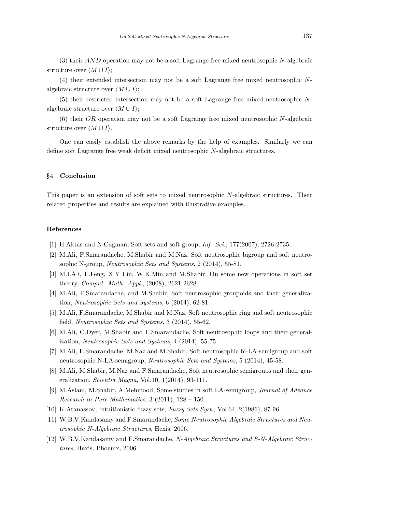(3) their AND operation may not be a soft Lagrange free mixed neutrosophic N-algebraic structure over  $\langle M \cup I \rangle$ ;

(4) their extended intersection may not be a soft Lagrange free mixed neutrosophic Nalgebraic structure over  $\langle M \cup I \rangle$ ;

(5) their restricted intersection may not be a soft Lagrange free mixed neutrosophic Nalgebraic structure over  $\langle M \cup I \rangle$ ;

(6) their OR operation may not be a soft Lagrange free mixed neutrosophic N-algebraic structure over  $\langle M \cup I \rangle$ .

One can easily establish the above remarks by the help of examples. Similarly we can define soft Lagrange free weak deficit mixed neutrosophic N-algebraic structures.

### §4. Conclusion

This paper is an extension of soft sets to mixed neutrosophic N-algebraic structures. Their related properties and results are explained with illustrative examples.

#### References

- [1] H.Aktas and N.Cagman, Soft sets and soft group, Inf. Sci., 177(2007), 2726-2735.
- [2] M.Ali, F.Smarandache, M.Shabir and M.Naz, Soft neutrosophic bigroup and soft neutrosophic N-group, Neutrosophic Sets and Systems, 2 (2014), 55-81.
- [3] M.I.Ali, F.Feng, X.Y Liu, W.K.Min and M.Shabir, On some new operations in soft set theory, Comput. Math. Appl., (2008), 2621-2628.
- [4] M.Ali, F.Smarandache, and M.Shabir, Soft neutrosophic groupoids and their generalization, Neutrosophic Sets and Systems, 6 (2014), 62-81.
- [5] M.Ali, F.Smarandache, M.Shabir and M.Naz, Soft neutrosophic ring and soft neutrosophic field, Neutrosophic Sets and Systems, 3 (2014), 55-62.
- [6] M.Ali, C.Dyer, M.Shabir and F.Smarandache, Soft neutrosophic loops and their generalization, Neutrosophic Sets and Systems, 4 (2014), 55-75.
- [7] M.Ali, F.Smarandache, M.Naz and M.Shabir, Soft neutrosophic bi-LA-semigroup and soft neutrosophic N-LA-semigroup, Neutrosophic Sets and Systems, 5 (2014), 45-58.
- [8] M.Ali, M.Shabir, M.Naz and F.Smarandache, Soft neutrosophic semigroups and their generalization, Scientia Magna, Vol.10, 1(2014), 93-111.
- [9] M.Aslam, M.Shabir, A.Mehmood, Some studies in soft LA-semigroup, Journal of Advance Research in Pure Mathematics,  $3$  (2011),  $128 - 150$ .
- [10] K.Atanassov, Intuitionistic fuzzy sets, Fuzzy Sets Syst., Vol.64, 2(1986), 87-96.
- [11] W.B.V.Kandasamy and F.Smarandache, Some Neutrosophic Algebraic Structures and Neutrosophic N-Algebraic Structures, Hexis, 2006.
- [12] W.B.V.Kandasamy and F.Smarandache, N-Algebraic Structures and S-N-Algebraic Structures, Hexis, Phoenix, 2006.